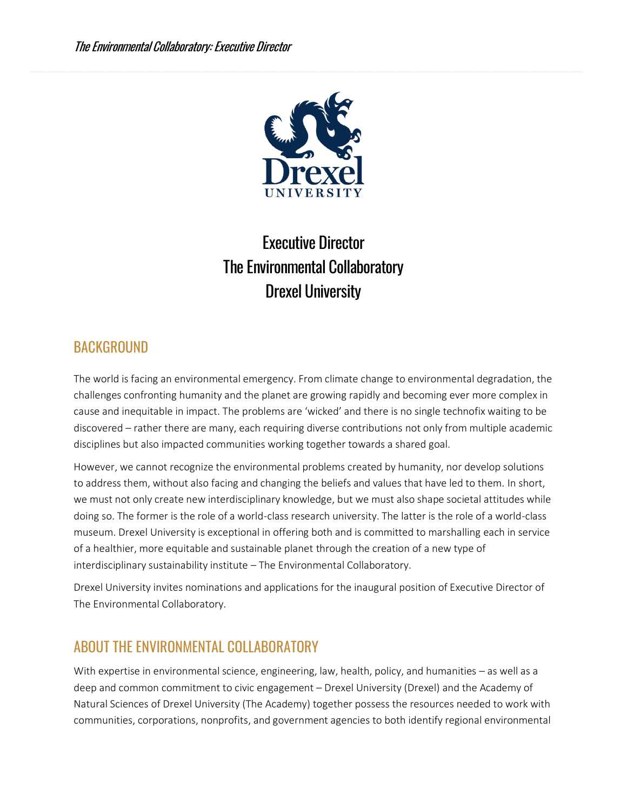

# Executive Director The Environmental Collaboratory Drexel University

### BACKGROUND

The world is facing an environmental emergency. From climate change to environmental degradation, the challenges confronting humanity and the planet are growing rapidly and becoming ever more complex in cause and inequitable in impact. The problems are 'wicked' and there is no single technofix waiting to be discovered – rather there are many, each requiring diverse contributions not only from multiple academic disciplines but also impacted communities working together towards a shared goal.

However, we cannot recognize the environmental problems created by humanity, nor develop solutions to address them, without also facing and changing the beliefs and values that have led to them. In short, we must not only create new interdisciplinary knowledge, but we must also shape societal attitudes while doing so. The former is the role of a world-class research university. The latter is the role of a world-class museum. Drexel University is exceptional in offering both and is committed to marshalling each in service of a healthier, more equitable and sustainable planet through the creation of a new type of interdisciplinary sustainability institute – The Environmental Collaboratory.

Drexel University invites nominations and applications for the inaugural position of Executive Director of The Environmental Collaboratory.

## ABOUT THE ENVIRONMENTAL COLLABORATORY

With expertise in environmental science, engineering, law, health, policy, and humanities – as well as a deep and common commitment to civic engagement – Drexel University (Drexel) and the Academy of Natural Sciences of Drexel University (The Academy) together possess the resources needed to work with communities, corporations, nonprofits, and government agencies to both identify regional environmental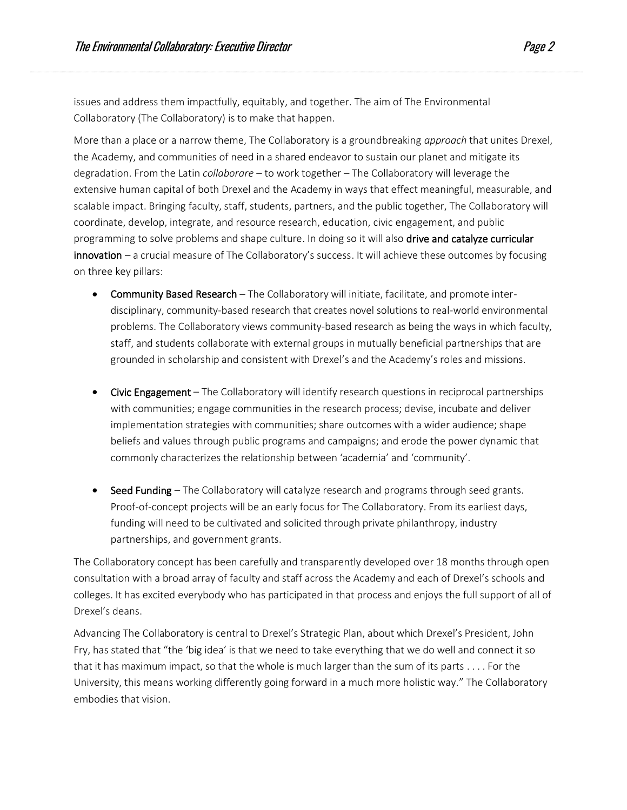issues and address them impactfully, equitably, and together. The aim of The Environmental Collaboratory (The Collaboratory) is to make that happen.

More than a place or a narrow theme, The Collaboratory is a groundbreaking *approach* that unites Drexel, the Academy, and communities of need in a shared endeavor to sustain our planet and mitigate its degradation. From the Latin *collaborare* – to work together – The Collaboratory will leverage the extensive human capital of both Drexel and the Academy in ways that effect meaningful, measurable, and scalable impact. Bringing faculty, staff, students, partners, and the public together, The Collaboratory will coordinate, develop, integrate, and resource research, education, civic engagement, and public programming to solve problems and shape culture. In doing so it will also drive and catalyze curricular innovation – a crucial measure of The Collaboratory's success. It will achieve these outcomes by focusing on three key pillars:

- Community Based Research The Collaboratory will initiate, facilitate, and promote interdisciplinary, community-based research that creates novel solutions to real-world environmental problems. The Collaboratory views community-based research as being the ways in which faculty, staff, and students collaborate with external groups in mutually beneficial partnerships that are grounded in scholarship and consistent with Drexel's and the Academy's roles and missions.
- Civic Engagement The Collaboratory will identify research questions in reciprocal partnerships with communities; engage communities in the research process; devise, incubate and deliver implementation strategies with communities; share outcomes with a wider audience; shape beliefs and values through public programs and campaigns; and erode the power dynamic that commonly characterizes the relationship between 'academia' and 'community'.
- Seed Funding The Collaboratory will catalyze research and programs through seed grants. Proof-of-concept projects will be an early focus for The Collaboratory. From its earliest days, funding will need to be cultivated and solicited through private philanthropy, industry partnerships, and government grants.

The Collaboratory concept has been carefully and transparently developed over 18 months through open consultation with a broad array of faculty and staff across the Academy and each of Drexel's schools and colleges. It has excited everybody who has participated in that process and enjoys the full support of all of Drexel's deans.

Advancing The Collaboratory is central to Drexel's Strategic Plan, about which Drexel's President, John Fry, has stated that "the 'big idea' is that we need to take everything that we do well and connect it so that it has maximum impact, so that the whole is much larger than the sum of its parts . . . . For the University, this means working differently going forward in a much more holistic way." The Collaboratory embodies that vision.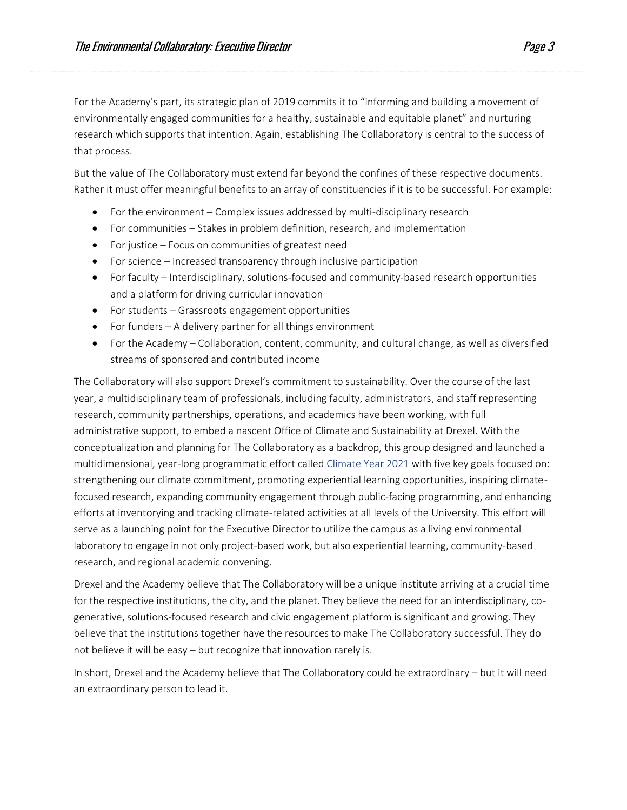For the Academy's part, its strategic plan of 2019 commits it to "informing and building a movement of environmentally engaged communities for a healthy, sustainable and equitable planet" and nurturing research which supports that intention. Again, establishing The Collaboratory is central to the success of that process.

But the value of The Collaboratory must extend far beyond the confines of these respective documents. Rather it must offer meaningful benefits to an array of constituencies if it is to be successful. For example:

- For the environment Complex issues addressed by multi-disciplinary research
- For communities Stakes in problem definition, research, and implementation
- For justice Focus on communities of greatest need
- For science Increased transparency through inclusive participation
- For faculty Interdisciplinary, solutions-focused and community-based research opportunities and a platform for driving curricular innovation
- For students Grassroots engagement opportunities
- For funders A delivery partner for all things environment
- For the Academy Collaboration, content, community, and cultural change, as well as diversified streams of sponsored and contributed income

The Collaboratory will also support Drexel's commitment to sustainability. Over the course of the last year, a multidisciplinary team of professionals, including faculty, administrators, and staff representing research, community partnerships, operations, and academics have been working, with full administrative support, to embed a nascent Office of Climate and Sustainability at Drexel. With the conceptualization and planning for The Collaboratory as a backdrop, this group designed and launched a multidimensional, year-long programmatic effort called [Climate Year 2021](https://drexel.edu/sustainability/about/climate-year/) with five key goals focused on: strengthening our climate commitment, promoting experiential learning opportunities, inspiring climatefocused research, expanding community engagement through public-facing programming, and enhancing efforts at inventorying and tracking climate-related activities at all levels of the University. This effort will serve as a launching point for the Executive Director to utilize the campus as a living environmental laboratory to engage in not only project-based work, but also experiential learning, community-based research, and regional academic convening.

Drexel and the Academy believe that The Collaboratory will be a unique institute arriving at a crucial time for the respective institutions, the city, and the planet. They believe the need for an interdisciplinary, cogenerative, solutions-focused research and civic engagement platform is significant and growing. They believe that the institutions together have the resources to make The Collaboratory successful. They do not believe it will be easy – but recognize that innovation rarely is.

In short, Drexel and the Academy believe that The Collaboratory could be extraordinary – but it will need an extraordinary person to lead it.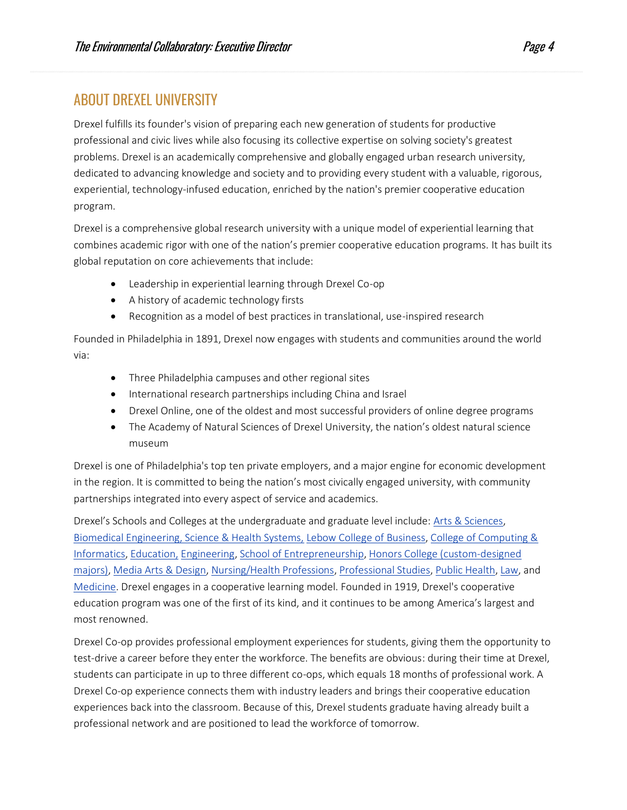### ABOUT DREXEL UNIVERSITY

Drexel fulfills its founder's vision of preparing each new generation of students for productive professional and civic lives while also focusing its collective expertise on solving society's greatest problems. Drexel is an academically comprehensive and globally engaged urban research university, dedicated to advancing knowledge and society and to providing every student with a valuable, rigorous, experiential, technology-infused education, enriched by the nation's premier cooperative education program.

Drexel is a comprehensive global research university with a unique model of experiential learning that combines academic rigor with one of the nation's premier cooperative education programs. It has built its global reputation on core achievements that include:

- Leadership in experiential learning through Drexel Co-op
- A history of academic technology firsts
- Recognition as a model of best practices in translational, use-inspired research

Founded in Philadelphia in 1891, Drexel now engages with students and communities around the world via:

- Three Philadelphia campuses and other regional sites
- International research partnerships including China and Israel
- Drexel Online, one of the oldest and most successful providers of online degree programs
- The Academy of Natural Sciences of Drexel University, the nation's oldest natural science museum

Drexel is one of Philadelphia's top ten private employers, and a major engine for economic development in the region. It is committed to being the nation's most civically engaged university, with community partnerships integrated into every aspect of service and academics.

Drexel's Schools and Colleges at the undergraduate and graduate level include: [Arts & Sciences,](https://drexel.edu/coas/) [Biomedical Engineering, Science & Health Systems,](https://drexel.edu/biomed/) [Lebow College of Business,](https://www.lebow.drexel.edu/?_gl=1*oiwfai*_ga*NDEyMDk3MTEyLjE2MjAyNDQ1MDU.*_ga_6KJ1PNLE19*MTYyMDkyODI0Mi44LjEuMTYyMDkyODY4NS4yMg..) [College of Computing &](https://drexel.edu/cci/)  [Informatics,](https://drexel.edu/cci/) [Education,](https://drexel.edu/soe/) [Engineering,](https://drexel.edu/engineering/) [School of Entrepreneurship,](https://drexel.edu/close%20?_gl=1*r1psz6*_ga*ndeymdk3mteylje2mjayndq1mdu.*_ga_6kj1pnle19*mtyymdkyodi0mi44ljeumtyymdkyodk5ms40oq..) [Honors College \(custom-designed](https://drexel.edu/graduatecollege/?_gl=1*1e1kqj7*_ga*ndeymdk3mteylje2mjayndq1mdu.*_ga_6kj1pnle19*mtyymdkyodi0mi44ljeumtyymdkyotayny4xmw..)  [majors\),](https://drexel.edu/graduatecollege/?_gl=1*1e1kqj7*_ga*ndeymdk3mteylje2mjayndq1mdu.*_ga_6kj1pnle19*mtyymdkyodi0mi44ljeumtyymdkyotayny4xmw..) [Media Arts & Design,](https://drexel.edu/westphal/?_gl=1*vldun3*_ga*ndeymdk3mteylje2mjayndq1mdu.*_ga_6kj1pnle19*mtyymdkyodi0mi44ljeumtyymdkyota1os41oq..) [Nursing/Health Professions,](https://drexel.edu/cnhp/?_gl=1*1yjjitl*_ga*ndeymdk3mteylje2mjayndq1mdu.*_ga_6kj1pnle19*mtyymdkyodi0mi44ljeumtyymdkyotexms43) [Professional Studies,](https://drexel.edu/goodwin/) [Public Health,](https://drexel.edu/dornsife/) [Law,](https://drexel.edu/law/) and [Medicine.](https://drexel.edu/medicine/) Drexel engages in a cooperative learning model. Founded in 1919, Drexel's cooperative education program was one of the first of its kind, and it continues to be among America's largest and most renowned.

Drexel Co-op provides professional employment experiences for students, giving them the opportunity to test-drive a career before they enter the workforce. The benefits are obvious: during their time at Drexel, students can participate in up to three different co-ops, which equals 18 months of professional work. A Drexel Co-op experience connects them with industry leaders and brings their cooperative education experiences back into the classroom. Because of this, Drexel students graduate having already built a professional network and are positioned to lead the workforce of tomorrow.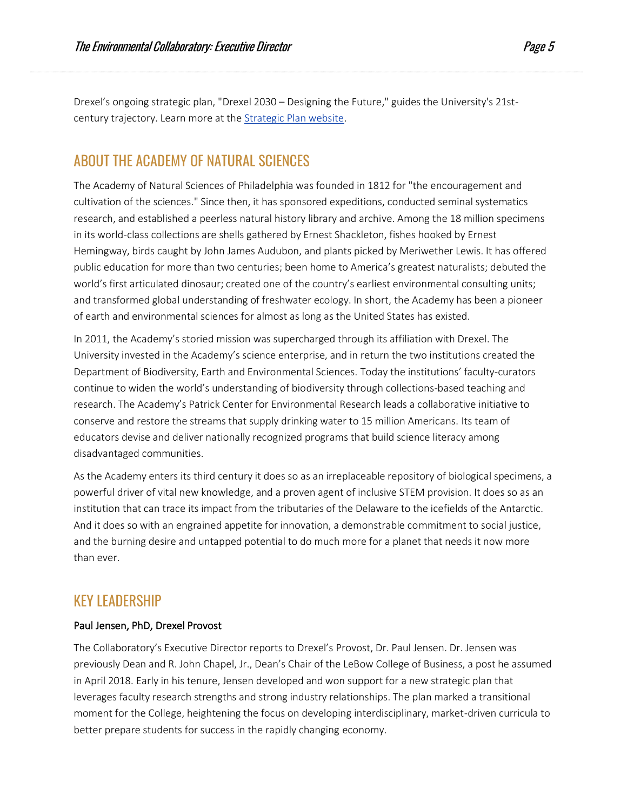Drexel's ongoing strategic plan, "Drexel 2030 – Designing the Future," guides the University's 21stcentury trajectory. Learn more at the [Strategic Plan website.](http://www.drexel.edu/strategicplan/)

### ABOUT THE ACADEMY OF NATURAL SCIENCES

The Academy of Natural Sciences of Philadelphia was founded in 1812 for "the encouragement and cultivation of the sciences." Since then, it has sponsored expeditions, conducted seminal systematics research, and established a peerless natural history library and archive. Among the 18 million specimens in its world-class collections are shells gathered by Ernest Shackleton, fishes hooked by Ernest Hemingway, birds caught by John James Audubon, and plants picked by Meriwether Lewis. It has offered public education for more than two centuries; been home to America's greatest naturalists; debuted the world's first articulated dinosaur; created one of the country's earliest environmental consulting units; and transformed global understanding of freshwater ecology. In short, the Academy has been a pioneer of earth and environmental sciences for almost as long as the United States has existed.

In 2011, the Academy's storied mission was supercharged through its affiliation with Drexel. The University invested in the Academy's science enterprise, and in return the two institutions created the Department of Biodiversity, Earth and Environmental Sciences. Today the institutions' faculty-curators continue to widen the world's understanding of biodiversity through collections-based teaching and research. The Academy's Patrick Center for Environmental Research leads a collaborative initiative to conserve and restore the streams that supply drinking water to 15 million Americans. Its team of educators devise and deliver nationally recognized programs that build science literacy among disadvantaged communities.

As the Academy enters its third century it does so as an irreplaceable repository of biological specimens, a powerful driver of vital new knowledge, and a proven agent of inclusive STEM provision. It does so as an institution that can trace its impact from the tributaries of the Delaware to the icefields of the Antarctic. And it does so with an engrained appetite for innovation, a demonstrable commitment to social justice, and the burning desire and untapped potential to do much more for a planet that needs it now more than ever.

### KEY LEADERSHIP

### Paul Jensen, PhD, Drexel Provost

The Collaboratory's Executive Director reports to Drexel's Provost, Dr. Paul Jensen. Dr. Jensen was previously Dean and R. John Chapel, Jr., Dean's Chair of the LeBow College of Business, a post he assumed in April 2018. Early in his tenure, Jensen developed and won support for a new strategic plan that leverages faculty research strengths and strong industry relationships. The plan marked a transitional moment for the College, heightening the focus on developing interdisciplinary, market-driven curricula to better prepare students for success in the rapidly changing economy.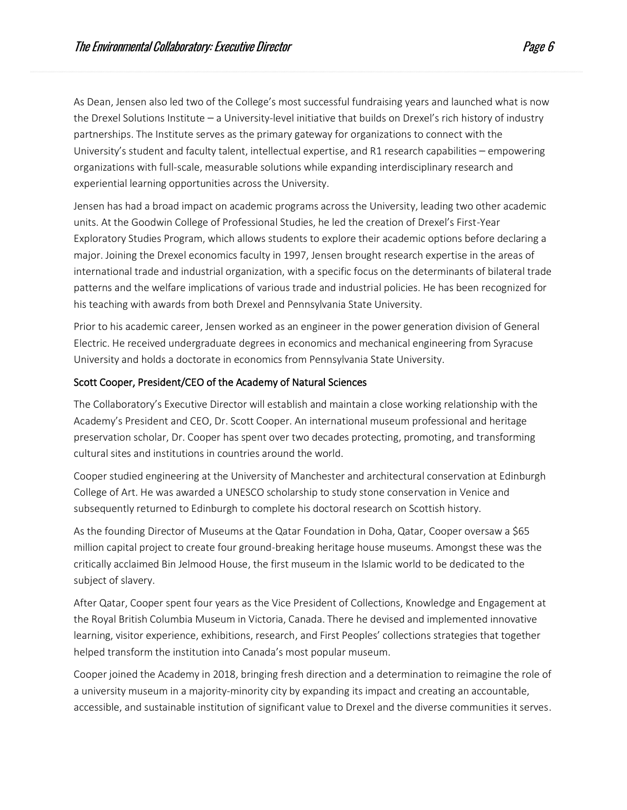As Dean, Jensen also led two of the College's most successful fundraising years and launched what is now the Drexel Solutions Institute – a University-level initiative that builds on Drexel's rich history of industry partnerships. The Institute serves as the primary gateway for organizations to connect with the University's student and faculty talent, intellectual expertise, and R1 research capabilities – empowering organizations with full-scale, measurable solutions while expanding interdisciplinary research and experiential learning opportunities across the University.

Jensen has had a broad impact on academic programs across the University, leading two other academic units. At the Goodwin College of Professional Studies, he led the creation of Drexel's First-Year Exploratory Studies Program, which allows students to explore their academic options before declaring a major. Joining the Drexel economics faculty in 1997, Jensen brought research expertise in the areas of international trade and industrial organization, with a specific focus on the determinants of bilateral trade patterns and the welfare implications of various trade and industrial policies. He has been recognized for his teaching with awards from both Drexel and Pennsylvania State University.

Prior to his academic career, Jensen worked as an engineer in the power generation division of General Electric. He received undergraduate degrees in economics and mechanical engineering from Syracuse University and holds a doctorate in economics from Pennsylvania State University.

#### Scott Cooper, President/CEO of the Academy of Natural Sciences

The Collaboratory's Executive Director will establish and maintain a close working relationship with the Academy's President and CEO, Dr. Scott Cooper. An international museum professional and heritage preservation scholar, Dr. Cooper has spent over two decades protecting, promoting, and transforming cultural sites and institutions in countries around the world.

Cooper studied engineering at the University of Manchester and architectural conservation at Edinburgh College of Art. He was awarded a UNESCO scholarship to study stone conservation in Venice and subsequently returned to Edinburgh to complete his doctoral research on Scottish history.

As the founding Director of Museums at the Qatar Foundation in Doha, Qatar, Cooper oversaw a \$65 million capital project to create four ground-breaking heritage house museums. Amongst these was the critically acclaimed Bin Jelmood House, the first museum in the Islamic world to be dedicated to the subject of slavery.

After Qatar, Cooper spent four years as the Vice President of Collections, Knowledge and Engagement at the Royal British Columbia Museum in Victoria, Canada. There he devised and implemented innovative learning, visitor experience, exhibitions, research, and First Peoples' collections strategies that together helped transform the institution into Canada's most popular museum.

Cooper joined the Academy in 2018, bringing fresh direction and a determination to reimagine the role of a university museum in a majority-minority city by expanding its impact and creating an accountable, accessible, and sustainable institution of significant value to Drexel and the diverse communities it serves.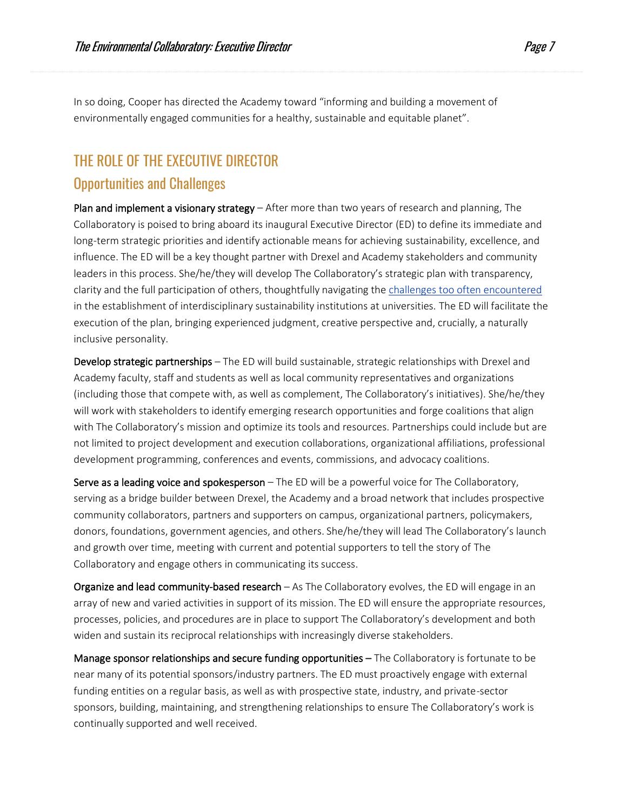In so doing, Cooper has directed the Academy toward "informing and building a movement of environmentally engaged communities for a healthy, sustainable and equitable planet".

## THE ROLE OF THE EXECUTIVE DIRECTOR Opportunities and Challenges

Plan and implement a visionary strategy - After more than two years of research and planning, The Collaboratory is poised to bring aboard its inaugural Executive Director (ED) to define its immediate and long-term strategic priorities and identify actionable means for achieving sustainability, excellence, and influence. The ED will be a key thought partner with Drexel and Academy stakeholders and community leaders in this process. She/he/they will develop The Collaboratory's strategic plan with transparency, clarity and the full participation of others, thoughtfully navigating th[e challenges too often encountered](http://graham.umich.edu/product/examining-interdisciplinary-sustainability-institutes) in the establishment of interdisciplinary sustainability institutions at universities. The ED will facilitate the execution of the plan, bringing experienced judgment, creative perspective and, crucially, a naturally inclusive personality.

Develop strategic partnerships – The ED will build sustainable, strategic relationships with Drexel and Academy faculty, staff and students as well as local community representatives and organizations (including those that compete with, as well as complement, The Collaboratory's initiatives). She/he/they will work with stakeholders to identify emerging research opportunities and forge coalitions that align with The Collaboratory's mission and optimize its tools and resources. Partnerships could include but are not limited to project development and execution collaborations, organizational affiliations, professional development programming, conferences and events, commissions, and advocacy coalitions.

Serve as a leading voice and spokesperson  $-$  The ED will be a powerful voice for The Collaboratory, serving as a bridge builder between Drexel, the Academy and a broad network that includes prospective community collaborators, partners and supporters on campus, organizational partners, policymakers, donors, foundations, government agencies, and others. She/he/they will lead The Collaboratory's launch and growth over time, meeting with current and potential supporters to tell the story of The Collaboratory and engage others in communicating its success.

Organize and lead community-based research – As The Collaboratory evolves, the ED will engage in an array of new and varied activities in support of its mission. The ED will ensure the appropriate resources, processes, policies, and procedures are in place to support The Collaboratory's development and both widen and sustain its reciprocal relationships with increasingly diverse stakeholders.

Manage sponsor relationships and secure funding opportunities – The Collaboratory is fortunate to be near many of its potential sponsors/industry partners. The ED must proactively engage with external funding entities on a regular basis, as well as with prospective state, industry, and private-sector sponsors, building, maintaining, and strengthening relationships to ensure The Collaboratory's work is continually supported and well received.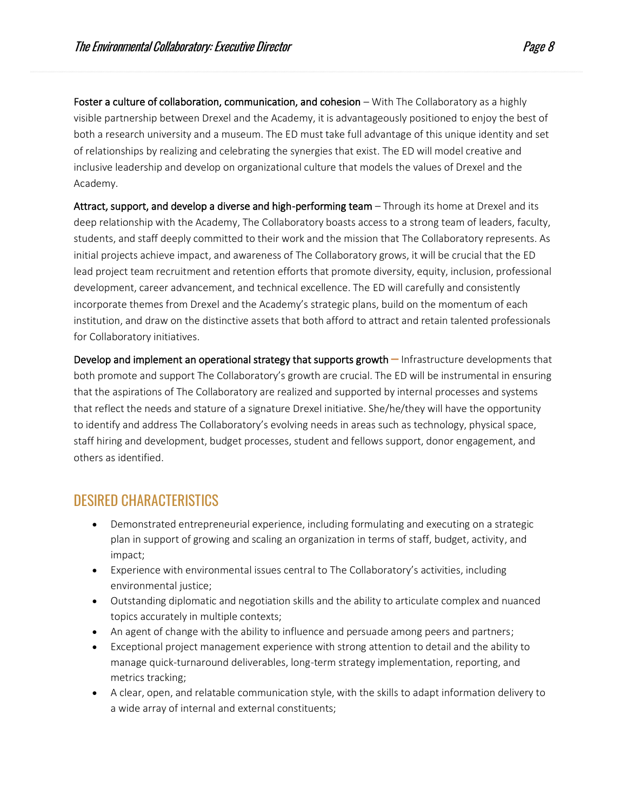Foster a culture of collaboration, communication, and cohesion – With The Collaboratory as a highly visible partnership between Drexel and the Academy, it is advantageously positioned to enjoy the best of both a research university and a museum. The ED must take full advantage of this unique identity and set of relationships by realizing and celebrating the synergies that exist. The ED will model creative and inclusive leadership and develop on organizational culture that models the values of Drexel and the Academy.

Attract, support, and develop a diverse and high-performing team – Through its home at Drexel and its deep relationship with the Academy, The Collaboratory boasts access to a strong team of leaders, faculty, students, and staff deeply committed to their work and the mission that The Collaboratory represents. As initial projects achieve impact, and awareness of The Collaboratory grows, it will be crucial that the ED lead project team recruitment and retention efforts that promote diversity, equity, inclusion, professional development, career advancement, and technical excellence. The ED will carefully and consistently incorporate themes from Drexel and the Academy's strategic plans, build on the momentum of each institution, and draw on the distinctive assets that both afford to attract and retain talented professionals for Collaboratory initiatives.

Develop and implement an operational strategy that supports growth – Infrastructure developments that both promote and support The Collaboratory's growth are crucial. The ED will be instrumental in ensuring that the aspirations of The Collaboratory are realized and supported by internal processes and systems that reflect the needs and stature of a signature Drexel initiative. She/he/they will have the opportunity to identify and address The Collaboratory's evolving needs in areas such as technology, physical space, staff hiring and development, budget processes, student and fellows support, donor engagement, and others as identified.

### DESIRED CHARACTERISTICS

- Demonstrated entrepreneurial experience, including formulating and executing on a strategic plan in support of growing and scaling an organization in terms of staff, budget, activity, and impact;
- Experience with environmental issues central to The Collaboratory's activities, including environmental justice;
- Outstanding diplomatic and negotiation skills and the ability to articulate complex and nuanced topics accurately in multiple contexts;
- An agent of change with the ability to influence and persuade among peers and partners;
- Exceptional project management experience with strong attention to detail and the ability to manage quick-turnaround deliverables, long-term strategy implementation, reporting, and metrics tracking;
- A clear, open, and relatable communication style, with the skills to adapt information delivery to a wide array of internal and external constituents;